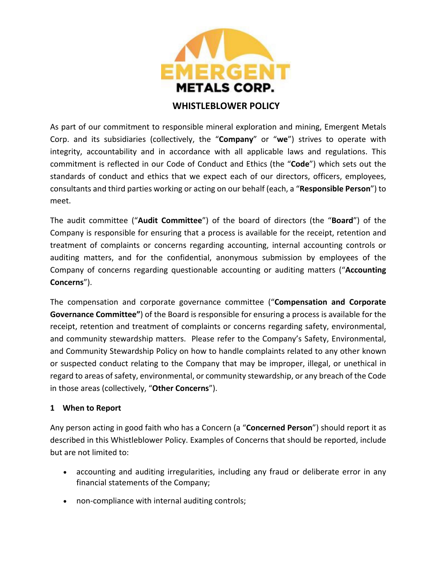

## **WHISTLEBLOWER POLICY**

As part of our commitment to responsible mineral exploration and mining, Emergent Metals Corp. and its subsidiaries (collectively, the "**Company**" or "**we**") strives to operate with integrity, accountability and in accordance with all applicable laws and regulations. This commitment is reflected in our Code of Conduct and Ethics (the "**Code**") which sets out the standards of conduct and ethics that we expect each of our directors, officers, employees, consultants and third parties working or acting on our behalf (each, a "**Responsible Person**") to meet.

The audit committee ("**Audit Committee**") of the board of directors (the "**Board**") of the Company is responsible for ensuring that a process is available for the receipt, retention and treatment of complaints or concerns regarding accounting, internal accounting controls or auditing matters, and for the confidential, anonymous submission by employees of the Company of concerns regarding questionable accounting or auditing matters ("**Accounting Concerns**").

The compensation and corporate governance committee ("**Compensation and Corporate Governance Committee"**) of the Board is responsible for ensuring a process is available for the receipt, retention and treatment of complaints or concerns regarding safety, environmental, and community stewardship matters. Please refer to the Company's Safety, Environmental, and Community Stewardship Policy on how to handle complaints related to any other known or suspected conduct relating to the Company that may be improper, illegal, or unethical in regard to areas of safety, environmental, or community stewardship, or any breach of the Code in those areas (collectively, "**Other Concerns**").

## **1 When to Report**

Any person acting in good faith who has a Concern (a "**Concerned Person**") should report it as described in this Whistleblower Policy. Examples of Concerns that should be reported, include but are not limited to:

- accounting and auditing irregularities, including any fraud or deliberate error in any financial statements of the Company;
- non-compliance with internal auditing controls;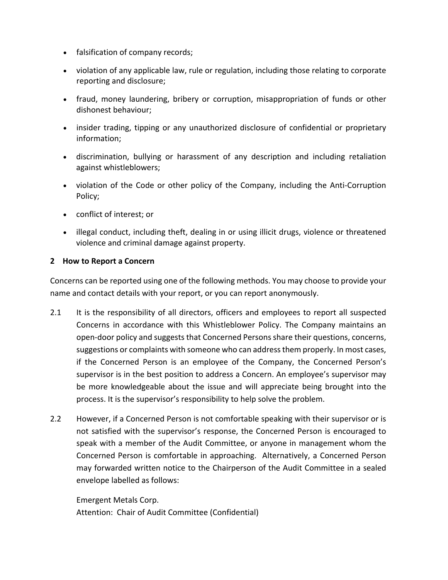- falsification of company records;
- violation of any applicable law, rule or regulation, including those relating to corporate reporting and disclosure;
- fraud, money laundering, bribery or corruption, misappropriation of funds or other dishonest behaviour;
- insider trading, tipping or any unauthorized disclosure of confidential or proprietary information;
- discrimination, bullying or harassment of any description and including retaliation against whistleblowers;
- violation of the Code or other policy of the Company, including the Anti-Corruption Policy;
- conflict of interest; or
- illegal conduct, including theft, dealing in or using illicit drugs, violence or threatened violence and criminal damage against property.

### **2 How to Report a Concern**

Concerns can be reported using one of the following methods. You may choose to provide your name and contact details with your report, or you can report anonymously.

- 2.1 It is the responsibility of all directors, officers and employees to report all suspected Concerns in accordance with this Whistleblower Policy. The Company maintains an open-door policy and suggests that Concerned Persons share their questions, concerns, suggestions or complaints with someone who can address them properly. In most cases, if the Concerned Person is an employee of the Company, the Concerned Person's supervisor is in the best position to address a Concern. An employee's supervisor may be more knowledgeable about the issue and will appreciate being brought into the process. It is the supervisor's responsibility to help solve the problem.
- 2.2 However, if a Concerned Person is not comfortable speaking with their supervisor or is not satisfied with the supervisor's response, the Concerned Person is encouraged to speak with a member of the Audit Committee, or anyone in management whom the Concerned Person is comfortable in approaching. Alternatively, a Concerned Person may forwarded written notice to the Chairperson of the Audit Committee in a sealed envelope labelled as follows:

Emergent Metals Corp. Attention: Chair of Audit Committee (Confidential)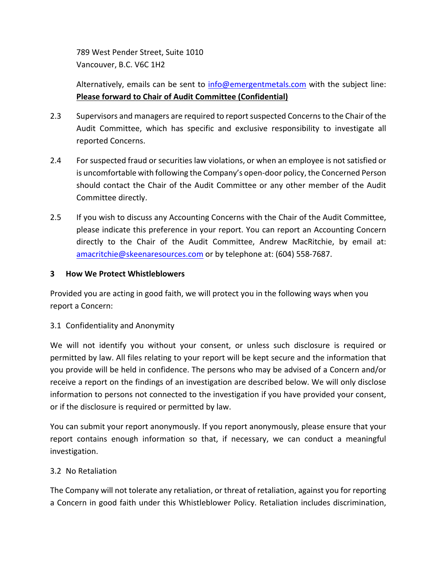789 West Pender Street, Suite 1010 Vancouver, B.C. V6C 1H2

# Alternatively, emails can be sent to [info@emergentmetals.com](mailto:info@emergentmetals.com) with the subject line: **Please forward to Chair of Audit Committee (Confidential)**

- 2.3 Supervisors and managers are required to report suspected Concerns to the Chair of the Audit Committee, which has specific and exclusive responsibility to investigate all reported Concerns.
- 2.4 For suspected fraud or securities law violations, or when an employee is not satisfied or is uncomfortable with following the Company's open-door policy, the Concerned Person should contact the Chair of the Audit Committee or any other member of the Audit Committee directly.
- 2.5 If you wish to discuss any Accounting Concerns with the Chair of the Audit Committee, please indicate this preference in your report. You can report an Accounting Concern directly to the Chair of the Audit Committee, Andrew MacRitchie, by email at: [amacritchie@skeenaresources.com](mailto:amacritchie@skeenaresources.com) or by telephone at: (604) 558-7687.

### **3 How We Protect Whistleblowers**

Provided you are acting in good faith, we will protect you in the following ways when you report a Concern:

## 3.1 Confidentiality and Anonymity

We will not identify you without your consent, or unless such disclosure is required or permitted by law. All files relating to your report will be kept secure and the information that you provide will be held in confidence. The persons who may be advised of a Concern and/or receive a report on the findings of an investigation are described below. We will only disclose information to persons not connected to the investigation if you have provided your consent, or if the disclosure is required or permitted by law.

You can submit your report anonymously. If you report anonymously, please ensure that your report contains enough information so that, if necessary, we can conduct a meaningful investigation.

## 3.2 No Retaliation

The Company will not tolerate any retaliation, or threat of retaliation, against you for reporting a Concern in good faith under this Whistleblower Policy. Retaliation includes discrimination,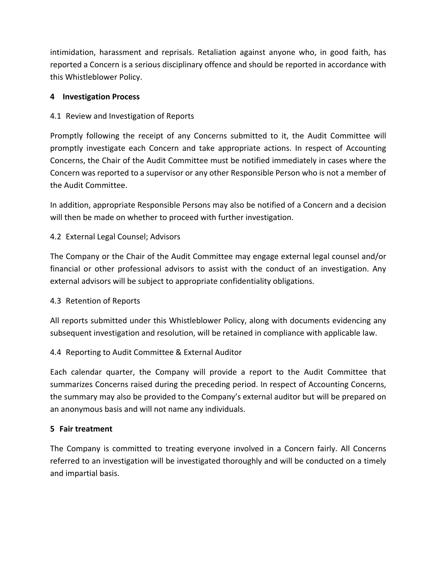intimidation, harassment and reprisals. Retaliation against anyone who, in good faith, has reported a Concern is a serious disciplinary offence and should be reported in accordance with this Whistleblower Policy.

## **4 Investigation Process**

## 4.1 Review and Investigation of Reports

Promptly following the receipt of any Concerns submitted to it, the Audit Committee will promptly investigate each Concern and take appropriate actions. In respect of Accounting Concerns, the Chair of the Audit Committee must be notified immediately in cases where the Concern was reported to a supervisor or any other Responsible Person who is not a member of the Audit Committee.

In addition, appropriate Responsible Persons may also be notified of a Concern and a decision will then be made on whether to proceed with further investigation.

## 4.2 External Legal Counsel; Advisors

The Company or the Chair of the Audit Committee may engage external legal counsel and/or financial or other professional advisors to assist with the conduct of an investigation. Any external advisors will be subject to appropriate confidentiality obligations.

## 4.3 Retention of Reports

All reports submitted under this Whistleblower Policy, along with documents evidencing any subsequent investigation and resolution, will be retained in compliance with applicable law.

## 4.4 Reporting to Audit Committee & External Auditor

Each calendar quarter, the Company will provide a report to the Audit Committee that summarizes Concerns raised during the preceding period. In respect of Accounting Concerns, the summary may also be provided to the Company's external auditor but will be prepared on an anonymous basis and will not name any individuals.

## **5 Fair treatment**

The Company is committed to treating everyone involved in a Concern fairly. All Concerns referred to an investigation will be investigated thoroughly and will be conducted on a timely and impartial basis.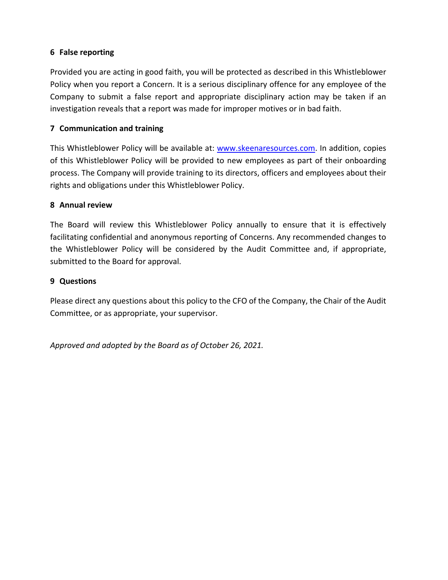## **6 False reporting**

Provided you are acting in good faith, you will be protected as described in this Whistleblower Policy when you report a Concern. It is a serious disciplinary offence for any employee of the Company to submit a false report and appropriate disciplinary action may be taken if an investigation reveals that a report was made for improper motives or in bad faith.

### **7 Communication and training**

This Whistleblower Policy will be available at: [www.skeenaresources.com.](http://www.skeenaresources.com/) In addition, copies of this Whistleblower Policy will be provided to new employees as part of their onboarding process. The Company will provide training to its directors, officers and employees about their rights and obligations under this Whistleblower Policy.

#### **8 Annual review**

The Board will review this Whistleblower Policy annually to ensure that it is effectively facilitating confidential and anonymous reporting of Concerns. Any recommended changes to the Whistleblower Policy will be considered by the Audit Committee and, if appropriate, submitted to the Board for approval.

#### **9 Questions**

Please direct any questions about this policy to the CFO of the Company, the Chair of the Audit Committee, or as appropriate, your supervisor.

*Approved and adopted by the Board as of October 26, 2021.*